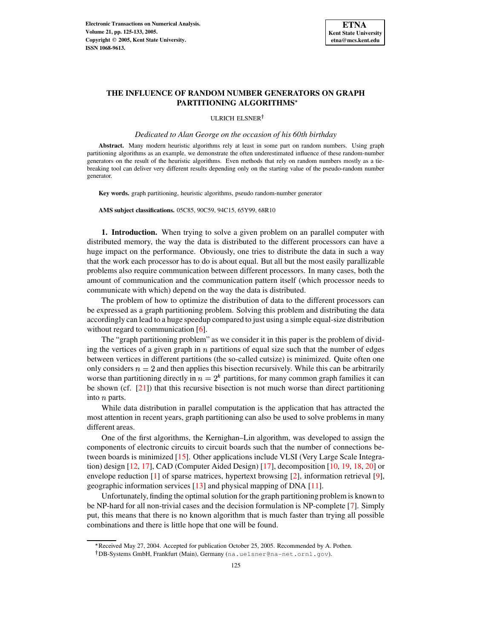

# **THE INFLUENCE OF RANDOM NUMBER GENERATORS ON GRAPH PARTITIONING ALGORITHMS**

ULRICH ELSNER

*Dedicated to Alan George on the occasion of his 60th birthday*

**Abstract.** Many modern heuristic algorithms rely at least in some part on random numbers. Using graph partitioning algorithms as an example, we demonstrate the often underestimated influence of these random-number generators on the result of the heuristic algorithms. Even methods that rely on random numbers mostly as a tiebreaking tool can deliver very different results depending only on the starting value of the pseudo-random number generator.

**Key words.** graph partitioning, heuristic algorithms, pseudo random-number generator

**AMS subject classifications.** 05C85, 90C59, 94C15, 65Y99, 68R10

**1. Introduction.** When trying to solve a given problem on an parallel computer with distributed memory, the way the data is distributed to the different processors can have a huge impact on the performance. Obviously, one tries to distribute the data in such a way that the work each processor has to do is about equal. But all but the most easily parallizable problems also require communication between different processors. In many cases, both the amount of communication and the communication pattern itself (which processor needs to communicate with which) depend on the way the data is distributed.

The problem of how to optimize the distribution of data to the different processors can be expressed as a graph partitioning problem. Solving this problem and distributing the data accordingly can lead to a huge speedup compared to just using a simple equal-size distribution without regard to communication [\[6\]](#page-7-0).

The "graph partitioning problem" as we consider it in this paper is the problem of dividing the vertices of a given graph in  $n$  partitions of equal size such that the number of edges between vertices in different partitions (the so-called cutsize) is minimized. Quite often one only considers  $n = 2$  and then applies this bisection recursively. While this can be arbitrarily worse than partitioning directly in  $n = 2<sup>k</sup>$  partitio  $<sup>k</sup>$  partitions, for many common graph families it can</sup> be shown (cf. [\[21\]](#page-8-0)) that this recursive bisection is not much worse than direct partitioning into  $n$  parts.

While data distribution in parallel computation is the application that has attracted the most attention in recent years, graph partitioning can also be used to solve problems in many different areas.

One of the first algorithms, the Kernighan–Lin algorithm, was developed to assign the components of electronic circuits to circuit boards such that the number of connections between boards is minimized [\[15\]](#page-7-1). Other applications include VLSI (Very Large Scale Integration) design [\[12,](#page-7-2) [17\]](#page-7-3), CAD (Computer Aided Design) [\[17\]](#page-7-3), decomposition [\[10,](#page-7-4) [19,](#page-7-5) [18,](#page-7-6) [20\]](#page-7-7) or envelope reduction [\[1\]](#page-7-8) of sparse matrices, hypertext browsing [\[2\]](#page-7-9), information retrieval [\[9\]](#page-7-10), geographic information services [\[13\]](#page-7-11) and physical mapping of DNA [\[11\]](#page-7-12).

Unfortunately, finding the optimal solution for the graph partitioning problem is known to be NP-hard for all non-trivial cases and the decision formulation is NP-complete [\[7\]](#page-7-13). Simply put, this means that there is no known algorithm that is much faster than trying all possible combinations and there is little hope that one will be found.

<sup>\*</sup> Received May 27, 2004. Accepted for publication October 25, 2005. Recommended by A. Pothen.

DB-Systems GmbH, Frankfurt (Main), Germany (na.uelsner@na-net.ornl.gov).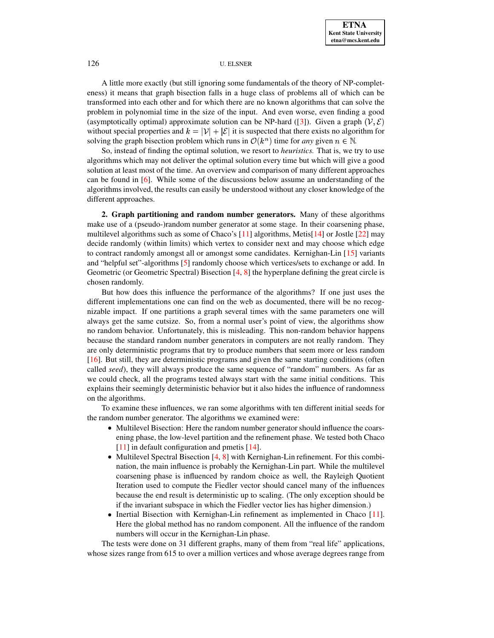A little more exactly (but still ignoring some fundamentals of the theory of NP-completeness) it means that graph bisection falls in a huge class of problems all of which can be transformed into each other and for which there are no known algorithms that can solve the problem in polynomial time in the size of the input. And even worse, even finding a good (asymptotically optimal) approximate solution can be NP-hard ([\[3\]](#page-7-14)). Given a graph  $(\mathcal{V}, \mathcal{E})$ without special properties and  $k = |\mathcal{V}| + |\mathcal{E}|$  it is suspected that there exists no algorithm for solving the graph bisection problem which runs in  $\mathcal{O}(k^n)$  time for *any* given  $n \in \mathbb{N}$ .

So, instead of finding the optimal solution, we resort to *heuristics.* That is, we try to use algorithms which may not deliver the optimal solution every time but which will give a good solution at least most of the time. An overview and comparison of many different approaches can be found in [\[6\]](#page-7-0). While some of the discussions below assume an understanding of the algorithms involved, the results can easily be understood without any closer knowledge of the different approaches.

**2. Graph partitioning and random number generators.** Many of these algorithms make use of a (pseudo-)random number generator at some stage. In their coarsening phase, multilevel algorithms such as some of Chaco's [\[11\]](#page-7-12) algorithms, Metis[\[14\]](#page-7-15) or Jostle [\[22\]](#page-8-1) may decide randomly (within limits) which vertex to consider next and may choose which edge to contract randomly amongst all or amongst some candidates. Kernighan-Lin  $[15]$  variants and "helpful set"-algorithms [\[5\]](#page-7-16) randomly choose which vertices/sets to exchange or add. In Geometric (or Geometric Spectral) Bisection  $[4, 8]$  $[4, 8]$  $[4, 8]$  the hyperplane defining the great circle is chosen randomly.

But how does this influence the performance of the algorithms? If one just uses the different implementations one can find on the web as documented, there will be no recognizable impact. If one partitions a graph several times with the same parameters one will always get the same cutsize. So, from a normal user's point of view, the algorithms show no random behavior. Unfortunately, this is misleading. This non-random behavior happens because the standard random number generators in computers are not really random. They are only deterministic programs that try to produce numbers that seem more or less random [\[16\]](#page-7-19). But still, they are deterministic programs and given the same starting conditions (often called *seed*), they will always produce the same sequence of "random" numbers. As far as we could check, all the programs tested always start with the same initial conditions. This explains their seemingly deterministic behavior but it also hides the influence of randomness on the algorithms.

To examine these influences, we ran some algorithms with ten different initial seeds for the random number generator. The algorithms we examined were:

- Multilevel Bisection: Here the random number generator should influence the coarsening phase, the low-level partition and the refinement phase. We tested both Chaco [\[11\]](#page-7-12) in default configuration and pmetis [\[14\]](#page-7-15).
- Multilevel Spectral Bisection [\[4,](#page-7-17) [8\]](#page-7-18) with Kernighan-Lin refinement. For this combination, the main influence is probably the Kernighan-Lin part. While the multilevel coarsening phase is influenced by random choice as well, the Rayleigh Quotient Iteration used to compute the Fiedler vector should cancel many of the influences because the end result is deterministic up to scaling. (The only exception should be if the invariant subspace in which the Fiedler vector lies has higher dimension.)
- Inertial Bisection with Kernighan-Lin refinement as implemented in Chaco [\[11\]](#page-7-12). Here the global method has no random component. All the influence of the random numbers will occur in the Kernighan-Lin phase.

The tests were done on 31 different graphs, many of them from "real life" applications, whose sizes range from 615 to over a million vertices and whose average degrees range from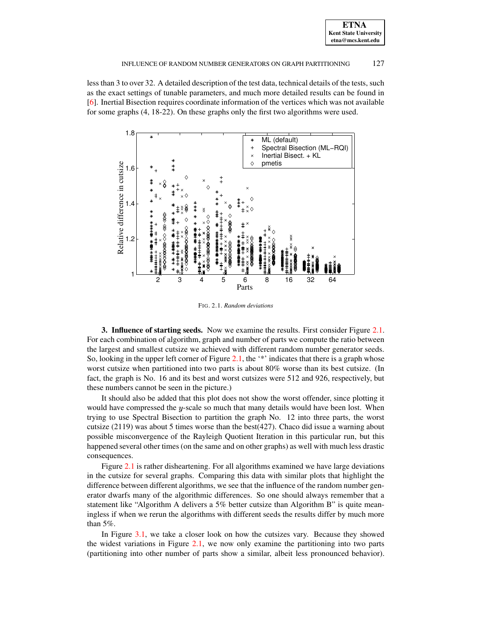#### INFLUENCE OF RANDOM NUMBER GENERATORS ON GRAPH PARTITIONING 127

less than 3 to over 32. A detailed description of the test data, technical details of the tests, such as the exact settings of tunable parameters, and much more detailed results can be found in [\[6\]](#page-7-0). Inertial Bisection requires coordinate information of the vertices which was not available for some graphs (4, 18-22). On these graphs only the first two algorithms were used.



<span id="page-2-0"></span>FIG. 2.1. *Random deviations*

**3. Influence of starting seeds.** Now we examine the results. First consider Figure [2.1.](#page-2-0) For each combination of algorithm, graph and number of parts we compute the ratio between the largest and smallest cutsize we achieved with different random number generator seeds. So, looking in the upper left corner of Figure [2.1,](#page-2-0) the '\*' indicates that there is a graph whose worst cutsize when partitioned into two parts is about 80% worse than its best cutsize. (In fact, the graph is No. 16 and its best and worst cutsizes were 512 and 926, respectively, but these numbers cannot be seen in the picture.)

It should also be added that this plot does not show the worst offender, since plotting it would have compressed the  $y$ -scale so much that many details would have been lost. When trying to use Spectral Bisection to partition the graph No. 12 into three parts, the worst cutsize  $(2119)$  was about 5 times worse than the best $(427)$ . Chaco did issue a warning about possible misconvergence of the Rayleigh Quotient Iteration in this particular run, but this happened several other times (on the same and on other graphs) as well with much less drastic consequences.

Figure [2.1](#page-2-0) is rather disheartening. For all algorithms examined we have large deviations in the cutsize for several graphs. Comparing this data with similar plots that highlight the difference between different algorithms, we see that the influence of the random number generator dwarfs many of the algorithmic differences. So one should always remember that a statement like "Algorithm A delivers a 5% better cutsize than Algorithm B" is quite meaningless if when we rerun the algorithms with different seeds the results differ by much more than 5%.

In Figure [3.1,](#page-3-0) we take a closer look on how the cutsizes vary. Because they showed the widest variations in Figure [2.1,](#page-2-0) we now only examine the partitioning into two parts (partitioning into other number of parts show a similar, albeit less pronounced behavior).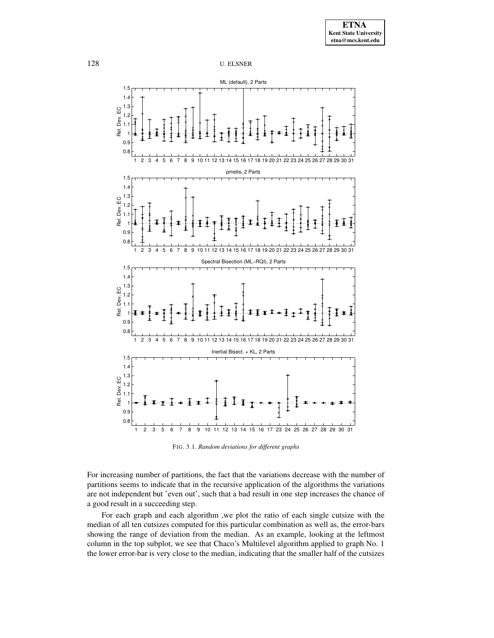

<span id="page-3-0"></span>FIG. 3.1. *Random deviations for different graphs*

For increasing number of partitions, the fact that the variations decrease with the number of partitions seems to indicate that in the recursive application of the algorithms the variations are not independent but 'even out', such that a bad result in one step increases the chance of a good result in a succeeding step.

For each graph and each algorithm ,we plot the ratio of each single cutsize with the median of all ten cutsizes computed for this particular combination as well as, the error-bars showing the range of deviation from the median. As an example, looking at the leftmost column in the top subplot, we see that Chaco's Multilevel algorithm applied to graph No. 1 the lower error-bar is very close to the median, indicating that the smaller half of the cutsizes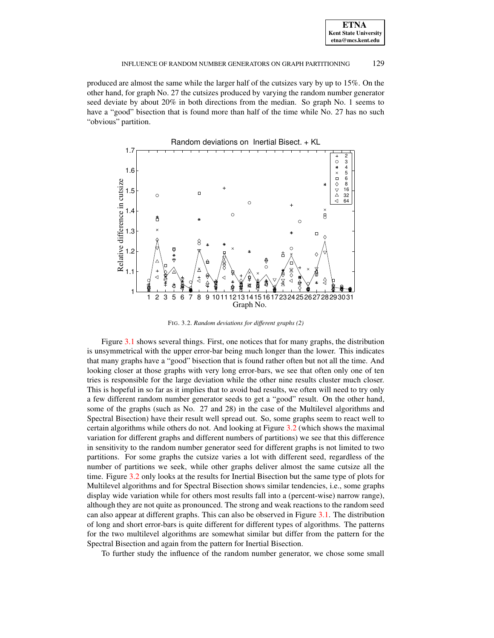#### INFLUENCE OF RANDOM NUMBER GENERATORS ON GRAPH PARTITIONING 129

produced are almost the same while the larger half of the cutsizes vary by up to 15%. On the other hand, for graph No. 27 the cutsizes produced by varying the random number generator seed deviate by about 20% in both directions from the median. So graph No. 1 seems to have a "good" bisection that is found more than half of the time while No. 27 has no such "obvious" partition.



<span id="page-4-0"></span>FIG. 3.2. *Random deviations for different graphs (2)*

Figure [3.1](#page-3-0) shows several things. First, one notices that for many graphs, the distribution is unsymmetrical with the upper error-bar being much longer than the lower. This indicates that many graphs have a "good" bisection that is found rather often but not all the time. And looking closer at those graphs with very long error-bars, we see that often only one of ten tries is responsible for the large deviation while the other nine results cluster much closer. This is hopeful in so far as it implies that to avoid bad results, we often will need to try only a few different random number generator seeds to get a "good" result. On the other hand, some of the graphs (such as No. 27 and 28) in the case of the Multilevel algorithms and Spectral Bisection) have their result well spread out. So, some graphs seem to react well to certain algorithms while others do not. And looking at Figure [3.2](#page-4-0) (which shows the maximal variation for different graphs and different numbers of partitions) we see that this difference in sensitivity to the random number generator seed for different graphs is not limited to two partitions. For some graphs the cutsize varies a lot with different seed, regardless of the number of partitions we seek, while other graphs deliver almost the same cutsize all the time. Figure [3.2](#page-4-0) only looks at the results for Inertial Bisection but the same type of plots for Multilevel algorithms and for Spectral Bisection shows similar tendencies, i.e., some graphs display wide variation while for others most results fall into a (percent-wise) narrow range), although they are not quite as pronounced. The strong and weak reactions to the random seed can also appear at different graphs. This can also be observed in Figure [3.1.](#page-3-0) The distribution of long and short error-bars is quite different for different types of algorithms. The patterns for the two multilevel algorithms are somewhat similar but differ from the pattern for the Spectral Bisection and again from the pattern for Inertial Bisection.

To further study the influence of the random number generator, we chose some small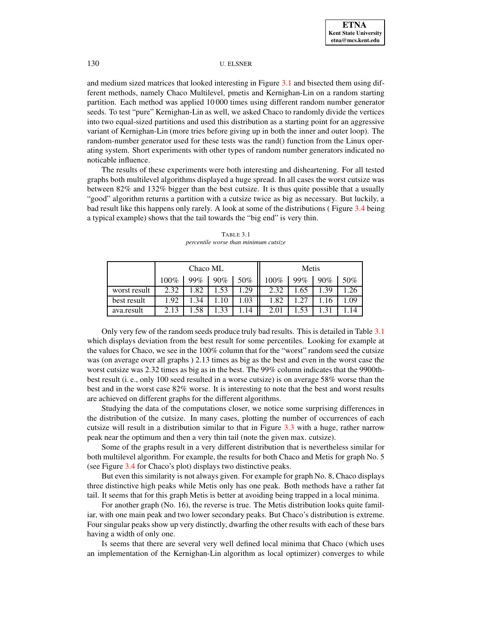and medium sized matrices that looked interesting in Figure [3.1](#page-3-0) and bisected them using different methods, namely Chaco Multilevel, pmetis and Kernighan-Lin on a random starting partition. Each method was applied 10 000 times using different random number generator seeds. To test "pure" Kernighan-Lin as well, we asked Chaco to randomly divide the vertices into two equal-sized partitions and used this distribution as a starting point for an aggressive variant of Kernighan-Lin (more tries before giving up in both the inner and outer loop). The random-number generator used for these tests was the rand() function from the Linux operating system. Short experiments with other types of random number generators indicated no noticable influence.

The results of these experiments were both interesting and disheartening. For all tested graphs both multilevel algorithms displayed a huge spread. In all cases the worst cutsize was between 82% and 132% bigger than the best cutsize. It is thus quite possible that a usually "good" algorithm returns a partition with a cutsize twice as big as necessary. But luckily, a bad result like this happens only rarely. A look at some of the distributions ( Figure [3.4](#page-6-0) being a typical example) shows that the tail towards the "big end" is very thin.

<span id="page-5-0"></span>

|              | Chaco ML |      |      |     | Metis |     |      |      |
|--------------|----------|------|------|-----|-------|-----|------|------|
|              | 100%     | 99%  | 90%  | 50% | 100%  | 99% | 90%  | 50%  |
| worst result | 2.32     | 1.82 | .53  | .29 | 2.32  | .65 | 1.39 |      |
| best result  | 1.92     | .34  | 10   | .03 | 1.82  |     | 16   | 1.09 |
| ava.result   | 2.13     | .58  | 1.33 | 14  | 2.01  | .53 |      |      |

TABLE 3.1 *percentile worse than minimum cutsize*

Only very few of the random seeds produce truly bad results. This is detailed in Table [3.1](#page-5-0) which displays deviation from the best result for some percentiles. Looking for example at the values for Chaco, we see in the 100% column that for the "worst" random seed the cutsize was (on average over all graphs ) 2.13 times as big as the best and even in the worst case the worst cutsize was 2.32 times as big as in the best. The 99% column indicates that the 9900thbest result (i. e., only 100 seed resulted in a worse cutsize) is on average 58% worse than the best and in the worst case 82% worse. It is interesting to note that the best and worst results are achieved on different graphs for the different algorithms.

Studying the data of the computations closer, we notice some surprising differences in the distribution of the cutsize. In many cases, plotting the number of occurrences of each cutsize will result in a distribution similar to that in Figure [3.3](#page-6-1) with a huge, rather narrow peak near the optimum and then a very thin tail (note the given max. cutsize).

Some of the graphs result in a very different distribution that is nevertheless similar for both multilevel algorithm. For example, the results for both Chaco and Metis for graph No. 5 (see Figure [3.4](#page-6-0) for Chaco's plot) displays two distinctive peaks.

But even this similarity is not always given. For example for graph No. 8, Chaco displays three distinctive high peaks while Metis only has one peak. Both methods have a rather fat tail. It seems that for this graph Metis is better at avoiding being trapped in a local minima.

For another graph (No. 16), the reverse is true. The Metis distribution looks quite familiar, with one main peak and two lower secondary peaks. But Chaco's distribution is extreme. Four singular peaks show up very distinctly, dwarfing the other results with each of these bars having a width of only one.

Is seems that there are several very well defined local minima that Chaco (which uses an implementation of the Kernighan-Lin algorithm as local optimizer) converges to while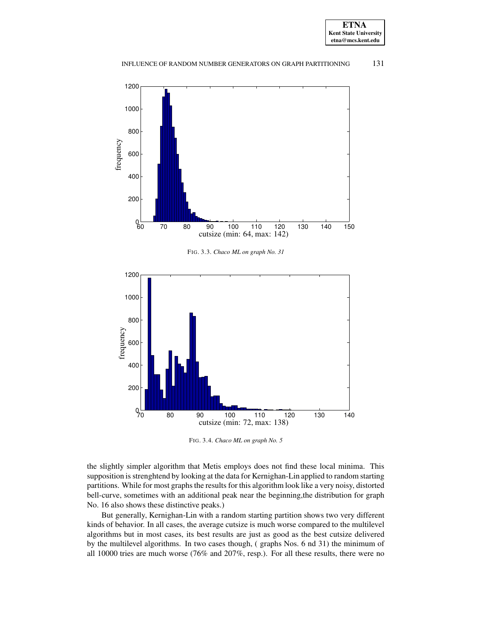



<span id="page-6-1"></span>

<span id="page-6-0"></span>FIG. 3.4. *Chaco ML on graph No. 5*

the slightly simpler algorithm that Metis employs does not find these local minima. This supposition is strenghtend by looking at the data for Kernighan-Lin applied to random starting partitions. While for most graphs the results for this algorithm look like a very noisy, distorted bell-curve, sometimes with an additional peak near the beginning,the distribution for graph No. 16 also shows these distinctive peaks.)

But generally, Kernighan-Lin with a random starting partition shows two very different kinds of behavior. In all cases, the average cutsize is much worse compared to the multilevel algorithms but in most cases, its best results are just as good as the best cutsize delivered by the multilevel algorithms. In two cases though, ( graphs Nos. 6 nd 31) the minimum of all 10000 tries are much worse (76% and 207%, resp.). For all these results, there were no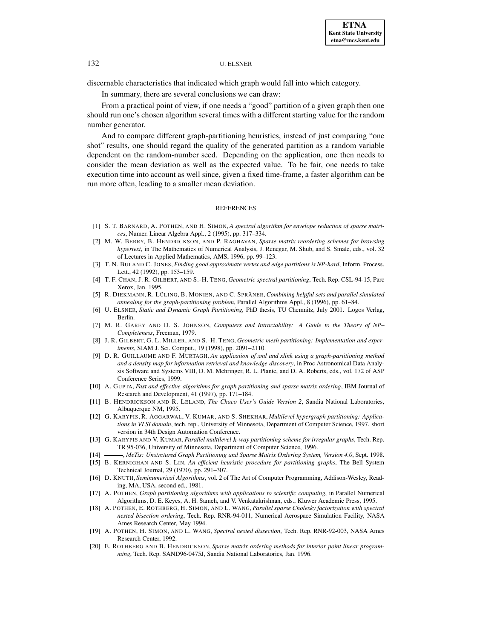discernable characteristics that indicated which graph would fall into which category.

In summary, there are several conclusions we can draw:

From a practical point of view, if one needs a "good" partition of a given graph then one should run one's chosen algorithm several times with a different starting value for the random number generator.

And to compare different graph-partitioning heuristics, instead of just comparing "one shot" results, one should regard the quality of the generated partition as a random variable dependent on the random-number seed. Depending on the application, one then needs to consider the mean deviation as well as the expected value. To be fair, one needs to take execution time into account as well since, given a fixed time-frame, a faster algorithm can be run more often, leading to a smaller mean deviation.

#### REFERENCES

- <span id="page-7-9"></span><span id="page-7-8"></span>[1] S. T. BARNARD, A. POTHEN, AND H. SIMON, *A spectral algorithm for envelope reduction of sparse matrices*, Numer. Linear Algebra Appl., 2 (1995), pp. 317–334.
- [2] M. W. BERRY, B. HENDRICKSON, AND P. RAGHAVAN, *Sparse matrix reordering schemes for browsing hypertext*, in The Mathematics of Numerical Analysis, J. Renegar, M. Shub, and S. Smale, eds., vol. 32 of Lectures in Applied Mathematics, AMS, 1996, pp. 99–123.
- <span id="page-7-17"></span><span id="page-7-14"></span>[3] T. N. BUI AND C. JONES, *Finding good approximate vertex and edge partitions is NP-hard*, Inform. Process. Lett., 42 (1992), pp. 153–159.
- [4] T. F. CHAN, J. R. GILBERT, AND S.-H. TENG, *Geometric spectral partitioning*, Tech. Rep. CSL-94-15, Parc Xerox, Jan. 1995.
- <span id="page-7-16"></span>[5] R. DIEKMANN, R. LU¨ LING, B. MONIEN, AND C. SPRA¨ NER, *Combining helpful sets and parallel simulated annealing for the graph-partitioning problem*, Parallel Algorithms Appl., 8 (1996), pp. 61–84.
- <span id="page-7-13"></span><span id="page-7-0"></span>[6] U. ELSNER, *Static and Dynamic Graph Partitioning*, PhD thesis, TU Chemnitz, July 2001. Logos Verlag, Berlin.
- [7] M. R. GAREY AND D. S. JOHNSON, *Computers and Intractability: A Guide to the Theory of NP– Completeness*, Freeman, 1979.
- <span id="page-7-18"></span>[8] J. R. GILBERT, G. L. MILLER, AND S.-H. TENG, *Geometric mesh partitioning: Implementation and experiments*, SIAM J. Sci. Comput., 19 (1998), pp. 2091–2110.
- <span id="page-7-10"></span>[9] D. R. GUILLAUME AND F. MURTAGH, *An application of xml and xlink using a graph-partitioning method and a density map for information retrieval and knowledge discovery*, in Proc Astronomical Data Analysis Software and Systems VIII, D. M. Mehringer, R. L. Plante, and D. A. Roberts, eds., vol. 172 of ASP Conference Series, 1999.
- <span id="page-7-4"></span>[10] A. GUPTA, *Fast and effective algorithms for graph partitioning and sparse matrix ordering*, IBM Journal of Research and Development, 41 (1997), pp. 171–184.
- <span id="page-7-12"></span>[11] B. HENDRICKSON AND R. LELAND, *The Chaco User's Guide Version 2*, Sandia National Laboratories, Albuquerque NM, 1995.
- <span id="page-7-2"></span>[12] G. KARYPIS, R. AGGARWAL, V. KUMAR, AND S. SHEKHAR, *Multilevel hypergraph partitioning: Applications in VLSI domain*, tech. rep., University of Minnesota, Department of Computer Science, 1997. short version in 34th Design Automation Conference.
- <span id="page-7-11"></span>[13] G. KARYPIS AND V. KUMAR, *Parallel multilevel* '*-way partitioning scheme for irregular graphs*, Tech. Rep. TR 95-036, University of Minnesota, Department of Computer Science, 1996.
- <span id="page-7-15"></span>[14] , *MeTis: Unstrctured Graph Partitioning and Sparse Matrix Ordering System, Version 4.0*, Sept. 1998.
- <span id="page-7-1"></span>[15] B. KERNIGHAN AND S. LIN, *An efficient heuristic procedure for partitioning graphs*, The Bell System Technical Journal, 29 (1970), pp. 291–307.
- <span id="page-7-19"></span>[16] D. KNUTH, *Seminumerical Algorithms*, vol. 2 of The Art of Computer Programming, Addison-Wesley, Reading, MA, USA, second ed., 1981.
- <span id="page-7-3"></span>[17] A. POTHEN, *Graph partitioning algorithms with applications to scientific computing*, in Parallel Numerical Algorithms, D. E. Keyes, A. H. Sameh, and V. Venkatakrishnan, eds., Kluwer Academic Press, 1995.
- <span id="page-7-6"></span>[18] A. POTHEN, E. ROTHBERG, H. SIMON, AND L. WANG, *Parallel sparse Cholesky factorization with spectral nested bisection ordering*, Tech. Rep. RNR-94-011, Numerical Aerospace Simulation Facility, NASA Ames Research Center, May 1994.
- <span id="page-7-5"></span>[19] A. POTHEN, H. SIMON, AND L. WANG, *Spectral nested dissection*, Tech. Rep. RNR-92-003, NASA Ames Research Center, 1992.
- <span id="page-7-7"></span>[20] E. ROTHBERG AND B. HENDRICKSON, *Sparse matrix ordering methods for interior point linear programming*, Tech. Rep. SAND96-0475J, Sandia National Laboratories, Jan. 1996.